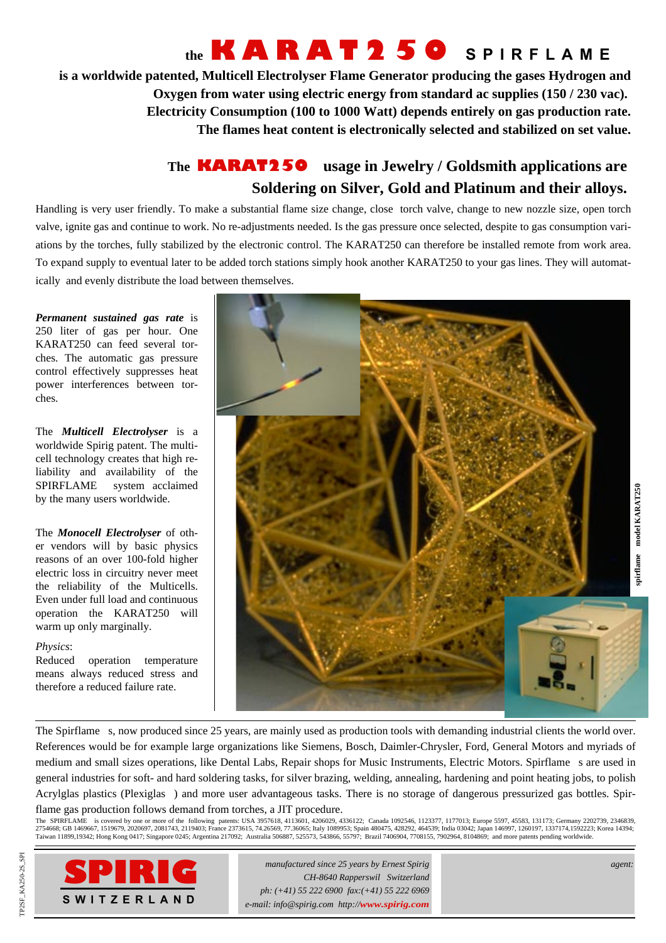## **the KARAT250 SPIRFLAME**

**is a worldwide patented, Multicell Electrolyser Flame Generator producing the gases Hydrogen and Oxygen from water using electric energy from standard ac supplies (150 / 230 vac). Electricity Consumption (100 to 1000 Watt) depends entirely on gas production rate. The flames heat content is electronically selected and stabilized on set value.**

### **The KARAT250 usage in Jewelry / Goldsmith applications are Soldering on Silver, Gold and Platinum and their alloys.**

Handling is very user friendly. To make a substantial flame size change, close torch valve, change to new nozzle size, open torch valve, ignite gas and continue to work. No re-adjustments needed. Is the gas pressure once selected, despite to gas consumption variations by the torches, fully stabilized by the electronic control. The KARAT250 can therefore be installed remote from work area. To expand supply to eventual later to be added torch stations simply hook another KARAT250 to your gas lines. They will automatically and evenly distribute the load between themselves.

*Permanent sustained gas rate* is 250 liter of gas per hour. One KARAT250 can feed several torches. The automatic gas pressure control effectively suppresses heat power interferences between torches.

The *Multicell Electrolyser* is a worldwide Spirig patent. The multicell technology creates that high reliability and availability of the SPIRFLAME<sup>®</sup> system acclaimed by the many users worldwide.

The *Monocell Electrolyser* of other vendors will by basic physics reasons of an over 100-fold higher electric loss in circuitry never meet the reliability of the Multicells. Even under full load and continuous operation the KARAT250 will warm up only marginally.

#### *Physics*:

Reduced operation temperature means always reduced stress and therefore a reduced failure rate.



The Spirflame®s, now produced since 25 years, are mainly used as production tools with demanding industrial clients the world over. References would be for example large organizations like Siemens, Bosch, Daimler-Chrysler, Ford, General Motors and myriads of medium and small sizes operations, like Dental Labs, Repair shops for Music Instruments, Electric Motors. Spirflame®s are used in general industries for soft- and hard soldering tasks, for silver brazing, welding, annealing, hardening and point heating jobs, to polish Acrylglas plastics (Plexiglas®) and more user advantageous tasks. There is no storage of dangerous pressurized gas bottles. Spirflame gas production follows demand from torches, a JIT procedure.

The SPIRFLAME<sup>®</sup> is covered by one or more of the following patents: USA 3957618, 4113601, 4206029, 4336122; Canada 1092546, 1123377, 1177013; Europe 5597, 45583, 131173; Germany 2202739, 2346839, 2754668; GB 1469667, 1519679, 2020697, 2081743, 2119403; France 2373615, 74.26569, 77.36065; Italy 1089953; Spain 480475, 428292, 464539; India 03042; Japan 146997, 1260197, 1337174,1592223; Korea 14394;<br>Taiwan 11899,19342



*manufactured since 25 years by Ernest Spirig CH-8640 Rapperswil Switzerland ph: (+41) 55 222 6900 fax:(+41) 55 222 6969 e-mail: info@spirig.com http://www.spirig.com*

*agent:*